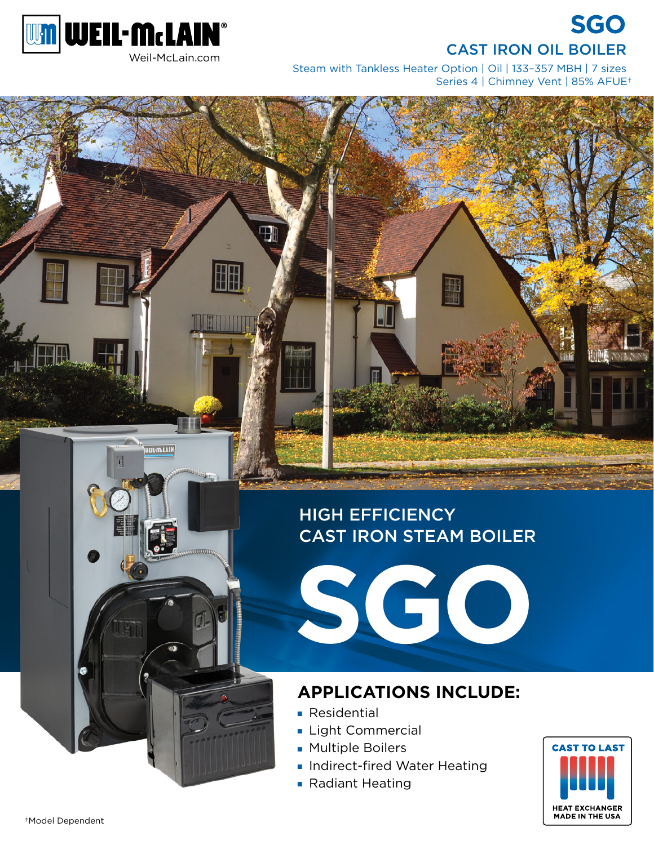



EIL·McLAIN

Steam with Tankless Heater Option | Oil | 133–357 MBH | 7 sizes Series 4 | Chimney Vent | 85% AFUE†

# HIGH EFFICIENCY CAST IRON STEAM BOILER



## **APPLICATIONS INCLUDE:**

- Residential
- Light Commercial
- Multiple Boilers
- Indirect-fired Water Heating
- Radiant Heating